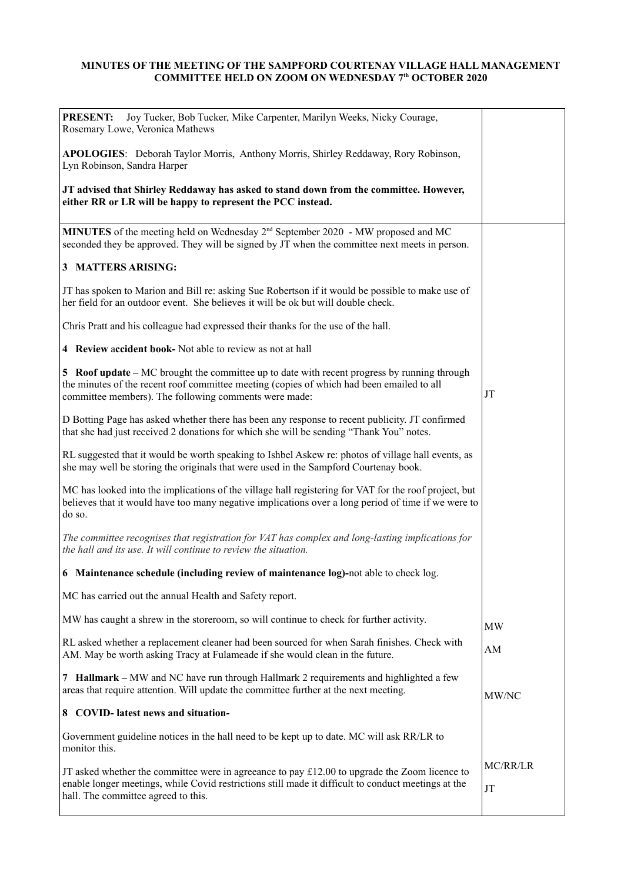## **MINUTES OF THE MEETING OF THE SAMPFORD COURTENAY VILLAGE HALL MANAGEMENT COMMITTEE HELD ON ZOOM ON WEDNESDAY 7th OCTOBER 2020**

| Joy Tucker, Bob Tucker, Mike Carpenter, Marilyn Weeks, Nicky Courage,<br><b>PRESENT:</b><br>Rosemary Lowe, Veronica Mathews                                                                                                                              |                |
|----------------------------------------------------------------------------------------------------------------------------------------------------------------------------------------------------------------------------------------------------------|----------------|
| APOLOGIES: Deborah Taylor Morris, Anthony Morris, Shirley Reddaway, Rory Robinson,<br>Lyn Robinson, Sandra Harper                                                                                                                                        |                |
| JT advised that Shirley Reddaway has asked to stand down from the committee. However,<br>either RR or LR will be happy to represent the PCC instead.                                                                                                     |                |
| <b>MINUTES</b> of the meeting held on Wednesday $2^{nd}$ September 2020 - MW proposed and MC<br>seconded they be approved. They will be signed by JT when the committee next meets in person.                                                            |                |
| 3 MATTERS ARISING:                                                                                                                                                                                                                                       |                |
| JT has spoken to Marion and Bill re: asking Sue Robertson if it would be possible to make use of<br>her field for an outdoor event. She believes it will be ok but will double check.                                                                    |                |
| Chris Pratt and his colleague had expressed their thanks for the use of the hall.                                                                                                                                                                        |                |
| 4 Review accident book- Not able to review as not at hall                                                                                                                                                                                                |                |
| <b>5</b> Roof update – MC brought the committee up to date with recent progress by running through<br>the minutes of the recent roof committee meeting (copies of which had been emailed to all<br>committee members). The following comments were made: | JT             |
| D Botting Page has asked whether there has been any response to recent publicity. JT confirmed<br>that she had just received 2 donations for which she will be sending "Thank You" notes.                                                                |                |
| RL suggested that it would be worth speaking to Ishbel Askew re: photos of village hall events, as<br>she may well be storing the originals that were used in the Sampford Courtenay book.                                                               |                |
| MC has looked into the implications of the village hall registering for VAT for the roof project, but<br>believes that it would have too many negative implications over a long period of time if we were to<br>do so.                                   |                |
| The committee recognises that registration for VAT has complex and long-lasting implications for<br>the hall and its use. It will continue to review the situation.                                                                                      |                |
| 6 Maintenance schedule (including review of maintenance log)-not able to check log.                                                                                                                                                                      |                |
| MC has carried out the annual Health and Safety report.                                                                                                                                                                                                  |                |
| MW has caught a shrew in the storeroom, so will continue to check for further activity.                                                                                                                                                                  | <b>MW</b>      |
| RL asked whether a replacement cleaner had been sourced for when Sarah finishes. Check with<br>AM. May be worth asking Tracy at Fulameade if she would clean in the future.                                                                              | AM             |
| 7 Hallmark – MW and NC have run through Hallmark 2 requirements and highlighted a few<br>areas that require attention. Will update the committee further at the next meeting.                                                                            | MW/NC          |
| 8 COVID-latest news and situation-                                                                                                                                                                                                                       |                |
| Government guideline notices in the hall need to be kept up to date. MC will ask RR/LR to<br>monitor this.                                                                                                                                               |                |
| JT asked whether the committee were in agreeance to pay $\pounds$ 12.00 to upgrade the Zoom licence to<br>enable longer meetings, while Covid restrictions still made it difficult to conduct meetings at the<br>hall. The committee agreed to this.     | MC/RR/LR<br>JT |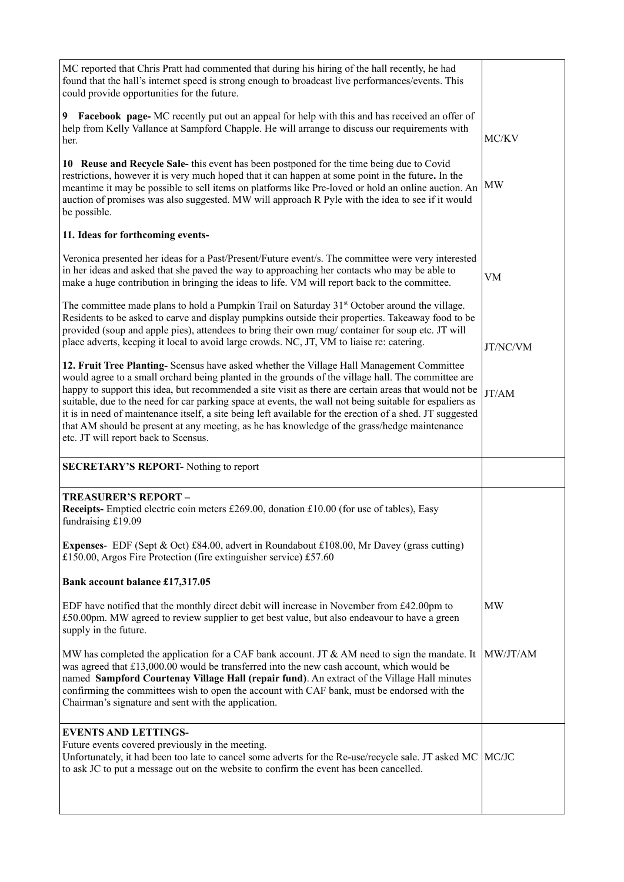| MC reported that Chris Pratt had commented that during his hiring of the hall recently, he had<br>found that the hall's internet speed is strong enough to broadcast live performances/events. This<br>could provide opportunities for the future.                                                                                                                                                                                                                                                                                                                                                                                                                       |           |
|--------------------------------------------------------------------------------------------------------------------------------------------------------------------------------------------------------------------------------------------------------------------------------------------------------------------------------------------------------------------------------------------------------------------------------------------------------------------------------------------------------------------------------------------------------------------------------------------------------------------------------------------------------------------------|-----------|
| Facebook page- MC recently put out an appeal for help with this and has received an offer of<br>9.<br>help from Kelly Vallance at Sampford Chapple. He will arrange to discuss our requirements with<br>her.                                                                                                                                                                                                                                                                                                                                                                                                                                                             | MC/KV     |
| 10 Reuse and Recycle Sale- this event has been postponed for the time being due to Covid<br>restrictions, however it is very much hoped that it can happen at some point in the future. In the<br>meantime it may be possible to sell items on platforms like Pre-loved or hold an online auction. An<br>auction of promises was also suggested. MW will approach R Pyle with the idea to see if it would<br>be possible.                                                                                                                                                                                                                                                | MW        |
| 11. Ideas for forthcoming events-                                                                                                                                                                                                                                                                                                                                                                                                                                                                                                                                                                                                                                        |           |
| Veronica presented her ideas for a Past/Present/Future event/s. The committee were very interested<br>in her ideas and asked that she paved the way to approaching her contacts who may be able to<br>make a huge contribution in bringing the ideas to life. VM will report back to the committee.                                                                                                                                                                                                                                                                                                                                                                      | VM        |
| The committee made plans to hold a Pumpkin Trail on Saturday $31st$ October around the village.<br>Residents to be asked to carve and display pumpkins outside their properties. Takeaway food to be<br>provided (soup and apple pies), attendees to bring their own mug/ container for soup etc. JT will<br>place adverts, keeping it local to avoid large crowds. NC, JT, VM to liaise re: catering.                                                                                                                                                                                                                                                                   | JT/NC/VM  |
| 12. Fruit Tree Planting- Scensus have asked whether the Village Hall Management Committee<br>would agree to a small orchard being planted in the grounds of the village hall. The committee are<br>happy to support this idea, but recommended a site visit as there are certain areas that would not be<br>suitable, due to the need for car parking space at events, the wall not being suitable for espaliers as<br>it is in need of maintenance itself, a site being left available for the erection of a shed. JT suggested<br>that AM should be present at any meeting, as he has knowledge of the grass/hedge maintenance<br>etc. JT will report back to Scensus. | JT/AM     |
| <b>SECRETARY'S REPORT-</b> Nothing to report                                                                                                                                                                                                                                                                                                                                                                                                                                                                                                                                                                                                                             |           |
| <b>TREASURER'S REPORT-</b><br><b>Receipts-</b> Emptied electric coin meters £269.00, donation $£10.00$ (for use of tables), Easy<br>fundraising £19.09                                                                                                                                                                                                                                                                                                                                                                                                                                                                                                                   |           |
| <b>Expenses-</b> EDF (Sept & Oct) £84.00, advert in Roundabout £108.00, Mr Davey (grass cutting)<br>£150.00, Argos Fire Protection (fire extinguisher service) £57.60                                                                                                                                                                                                                                                                                                                                                                                                                                                                                                    |           |
| Bank account balance £17,317.05                                                                                                                                                                                                                                                                                                                                                                                                                                                                                                                                                                                                                                          |           |
| EDF have notified that the monthly direct debit will increase in November from £42.00pm to<br>£50.00pm. MW agreed to review supplier to get best value, but also endeavour to have a green<br>supply in the future.                                                                                                                                                                                                                                                                                                                                                                                                                                                      | <b>MW</b> |
| MW has completed the application for a CAF bank account. JT & AM need to sign the mandate. It<br>was agreed that £13,000.00 would be transferred into the new cash account, which would be<br>named Sampford Courtenay Village Hall (repair fund). An extract of the Village Hall minutes<br>confirming the committees wish to open the account with CAF bank, must be endorsed with the<br>Chairman's signature and sent with the application.                                                                                                                                                                                                                          | MW/JT/AM  |
| <b>EVENTS AND LETTINGS-</b><br>Future events covered previously in the meeting.<br>Unfortunately, it had been too late to cancel some adverts for the Re-use/recycle sale. JT asked MC<br>to ask JC to put a message out on the website to confirm the event has been cancelled.                                                                                                                                                                                                                                                                                                                                                                                         | MC/JC     |
|                                                                                                                                                                                                                                                                                                                                                                                                                                                                                                                                                                                                                                                                          |           |